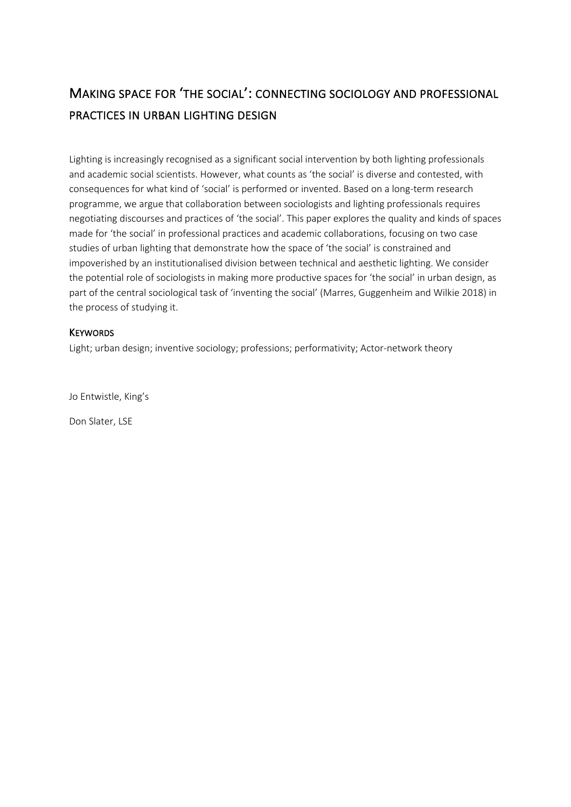# MAKING SPACE FOR 'THE SOCIAL': CONNECTING SOCIOLOGY AND PROFESSIONAL PRACTICES IN URBAN LIGHTING DESIGN

Lighting is increasingly recognised as a significant social intervention by both lighting professionals and academic social scientists. However, what counts as 'the social' is diverse and contested, with consequences for what kind of 'social' is performed or invented. Based on a long-term research programme, we argue that collaboration between sociologists and lighting professionals requires negotiating discourses and practices of 'the social'. This paper explores the quality and kinds of spaces made for 'the social' in professional practices and academic collaborations, focusing on two case studies of urban lighting that demonstrate how the space of 'the social' is constrained and impoverished by an institutionalised division between technical and aesthetic lighting. We consider the potential role of sociologists in making more productive spaces for 'the social' in urban design, as part of the central sociological task of 'inventing the social' (Marres, Guggenheim and Wilkie 2018) in the process of studying it.

### **KEYWORDS**

Light; urban design; inventive sociology; professions; performativity; Actor-network theory

Jo Entwistle, King's

Don Slater, LSE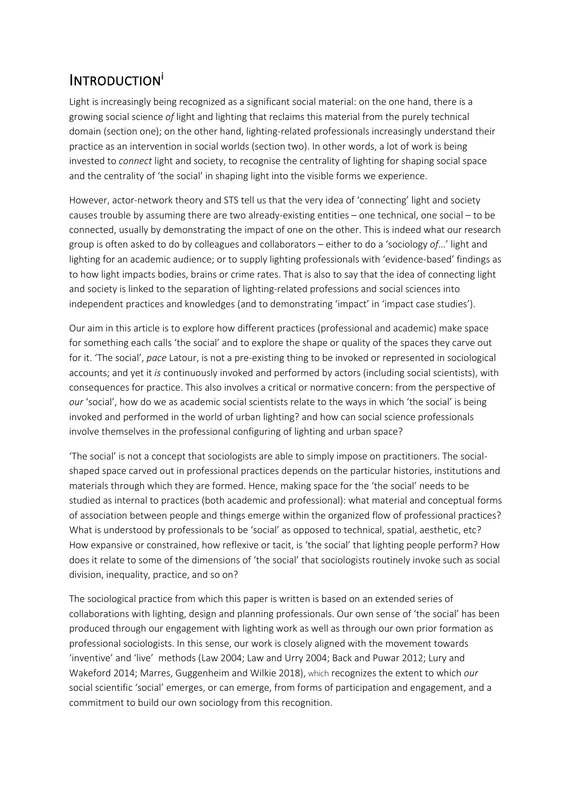# INTRODUCTION<sup>i</sup>

Light is increasingly being recognized as a significant social material: on the one hand, there is a growing social science *of* light and lighting that reclaims this material from the purely technical domain (section one); on the other hand, lighting-related professionals increasingly understand their practice as an intervention in social worlds (section two). In other words, a lot of work is being invested to *connect* light and society, to recognise the centrality of lighting for shaping social space and the centrality of 'the social' in shaping light into the visible forms we experience.

However, actor-network theory and STS tell us that the very idea of 'connecting' light and society causes trouble by assuming there are two already-existing entities – one technical, one social – to be connected, usually by demonstrating the impact of one on the other. This is indeed what our research group is often asked to do by colleagues and collaborators – either to do a 'sociology *of*…' light and lighting for an academic audience; or to supply lighting professionals with 'evidence-based' findings as to how light impacts bodies, brains or crime rates. That is also to say that the idea of connecting light and society is linked to the separation of lighting-related professions and social sciences into independent practices and knowledges (and to demonstrating 'impact' in 'impact case studies').

Our aim in this article is to explore how different practices (professional and academic) make space for something each calls 'the social' and to explore the shape or quality of the spaces they carve out for it. 'The social', *pace* Latour, is not a pre-existing thing to be invoked or represented in sociological accounts; and yet it *is* continuously invoked and performed by actors (including social scientists), with consequences for practice. This also involves a critical or normative concern: from the perspective of *our* 'social', how do we as academic social scientists relate to the ways in which 'the social' is being invoked and performed in the world of urban lighting? and how can social science professionals involve themselves in the professional configuring of lighting and urban space?

'The social' is not a concept that sociologists are able to simply impose on practitioners. The socialshaped space carved out in professional practices depends on the particular histories, institutions and materials through which they are formed. Hence, making space for the 'the social' needs to be studied as internal to practices (both academic and professional): what material and conceptual forms of association between people and things emerge within the organized flow of professional practices? What is understood by professionals to be 'social' as opposed to technical, spatial, aesthetic, etc? How expansive or constrained, how reflexive or tacit, is 'the social' that lighting people perform? How does it relate to some of the dimensions of 'the social' that sociologists routinely invoke such as social division, inequality, practice, and so on?

The sociological practice from which this paper is written is based on an extended series of collaborations with lighting, design and planning professionals. Our own sense of 'the social' has been produced through our engagement with lighting work as well as through our own prior formation as professional sociologists. In this sense, our work is closely aligned with the movement towards 'inventive' and 'live' methods (Law 2004; Law and Urry 2004; Back and Puwar 2012; Lury and Wakeford 2014; Marres, Guggenheim and Wilkie 2018), which recognizes the extent to which *our* social scientific 'social' emerges, or can emerge, from forms of participation and engagement, and a commitment to build our own sociology from this recognition.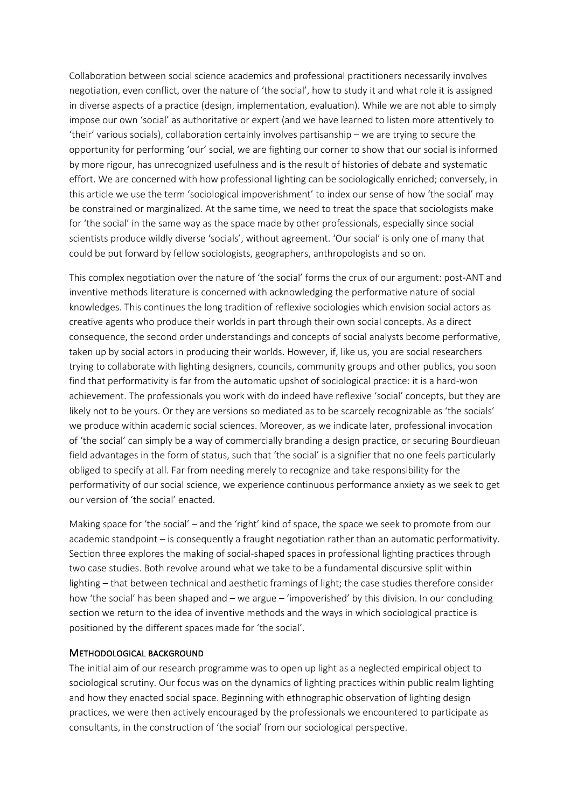Collaboration between social science academics and professional practitioners necessarily involves negotiation, even conflict, over the nature of 'the social', how to study it and what role it is assigned in diverse aspects of a practice (design, implementation, evaluation). While we are not able to simply impose our own 'social' as authoritative or expert (and we have learned to listen more attentively to 'their' various socials), collaboration certainly involves partisanship – we are trying to secure the opportunity for performing 'our' social, we are fighting our corner to show that our social is informed by more rigour, has unrecognized usefulness and is the result of histories of debate and systematic effort. We are concerned with how professional lighting can be sociologically enriched; conversely, in this article we use the term 'sociological impoverishment' to index our sense of how 'the social' may be constrained or marginalized. At the same time, we need to treat the space that sociologists make for 'the social' in the same way as the space made by other professionals, especially since social scientists produce wildly diverse 'socials', without agreement. 'Our social' is only one of many that could be put forward by fellow sociologists, geographers, anthropologists and so on.

This complex negotiation over the nature of 'the social' forms the crux of our argument: post-ANT and inventive methods literature is concerned with acknowledging the performative nature of social knowledges. This continues the long tradition of reflexive sociologies which envision social actors as creative agents who produce their worlds in part through their own social concepts. As a direct consequence, the second order understandings and concepts of social analysts become performative, taken up by social actors in producing their worlds. However, if, like us, you are social researchers trying to collaborate with lighting designers, councils, community groups and other publics, you soon find that performativity is far from the automatic upshot of sociological practice: it is a hard-won achievement. The professionals you work with do indeed have reflexive 'social' concepts, but they are likely not to be yours. Or they are versions so mediated as to be scarcely recognizable as 'the socials' we produce within academic social sciences. Moreover, as we indicate later, professional invocation of 'the social' can simply be a way of commercially branding a design practice, or securing Bourdieuan field advantages in the form of status, such that 'the social' is a signifier that no one feels particularly obliged to specify at all. Far from needing merely to recognize and take responsibility for the performativity of our social science, we experience continuous performance anxiety as we seek to get our version of 'the social' enacted.

Making space for 'the social' – and the 'right' kind of space, the space we seek to promote from our academic standpoint – is consequently a fraught negotiation rather than an automatic performativity. Section three explores the making of social-shaped spaces in professional lighting practices through two case studies. Both revolve around what we take to be a fundamental discursive split within lighting – that between technical and aesthetic framings of light; the case studies therefore consider how 'the social' has been shaped and – we argue – 'impoverished' by this division. In our concluding section we return to the idea of inventive methods and the ways in which sociological practice is positioned by the different spaces made for 'the social'.

### METHODOLOGICAL BACKGROUND

The initial aim of our research programme was to open up light as a neglected empirical object to sociological scrutiny. Our focus was on the dynamics of lighting practices within public realm lighting and how they enacted social space. Beginning with ethnographic observation of lighting design practices, we were then actively encouraged by the professionals we encountered to participate as consultants, in the construction of 'the social' from our sociological perspective.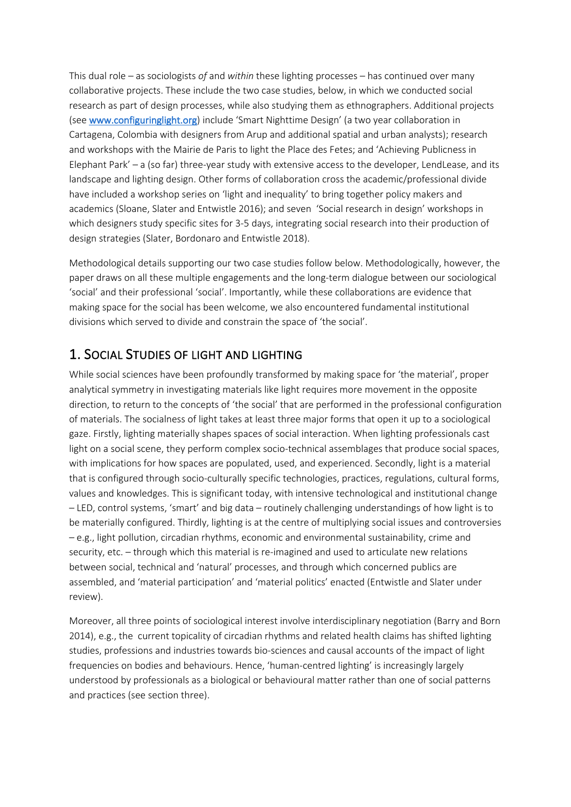This dual role – as sociologists *of* and *within* these lighting processes – has continued over many collaborative projects. These include the two case studies, below, in which we conducted social research as part of design processes, while also studying them as ethnographers. Additional projects (see www.configuringlight.org) include 'Smart Nighttime Design' (a two year collaboration in Cartagena, Colombia with designers from Arup and additional spatial and urban analysts); research and workshops with the Mairie de Paris to light the Place des Fetes; and 'Achieving Publicness in Elephant Park' – a (so far) three-year study with extensive access to the developer, LendLease, and its landscape and lighting design. Other forms of collaboration cross the academic/professional divide have included a workshop series on 'light and inequality' to bring together policy makers and academics (Sloane, Slater and Entwistle 2016); and seven 'Social research in design' workshops in which designers study specific sites for 3-5 days, integrating social research into their production of design strategies (Slater, Bordonaro and Entwistle 2018).

Methodological details supporting our two case studies follow below. Methodologically, however, the paper draws on all these multiple engagements and the long-term dialogue between our sociological 'social' and their professional 'social'. Importantly, while these collaborations are evidence that making space for the social has been welcome, we also encountered fundamental institutional divisions which served to divide and constrain the space of 'the social'.

## 1. SOCIAL STUDIES OF LIGHT AND LIGHTING

While social sciences have been profoundly transformed by making space for 'the material', proper analytical symmetry in investigating materials like light requires more movement in the opposite direction, to return to the concepts of 'the social' that are performed in the professional configuration of materials. The socialness of light takes at least three major forms that open it up to a sociological gaze. Firstly, lighting materially shapes spaces of social interaction. When lighting professionals cast light on a social scene, they perform complex socio-technical assemblages that produce social spaces, with implications for how spaces are populated, used, and experienced. Secondly, light is a material that is configured through socio-culturally specific technologies, practices, regulations, cultural forms, values and knowledges. This is significant today, with intensive technological and institutional change – LED, control systems, 'smart' and big data – routinely challenging understandings of how light is to be materially configured. Thirdly, lighting is at the centre of multiplying social issues and controversies – e.g., light pollution, circadian rhythms, economic and environmental sustainability, crime and security, etc. – through which this material is re-imagined and used to articulate new relations between social, technical and 'natural' processes, and through which concerned publics are assembled, and 'material participation' and 'material politics' enacted (Entwistle and Slater under review).

Moreover, all three points of sociological interest involve interdisciplinary negotiation (Barry and Born 2014), e.g., the current topicality of circadian rhythms and related health claims has shifted lighting studies, professions and industries towards bio-sciences and causal accounts of the impact of light frequencies on bodies and behaviours. Hence, 'human-centred lighting' is increasingly largely understood by professionals as a biological or behavioural matter rather than one of social patterns and practices (see section three).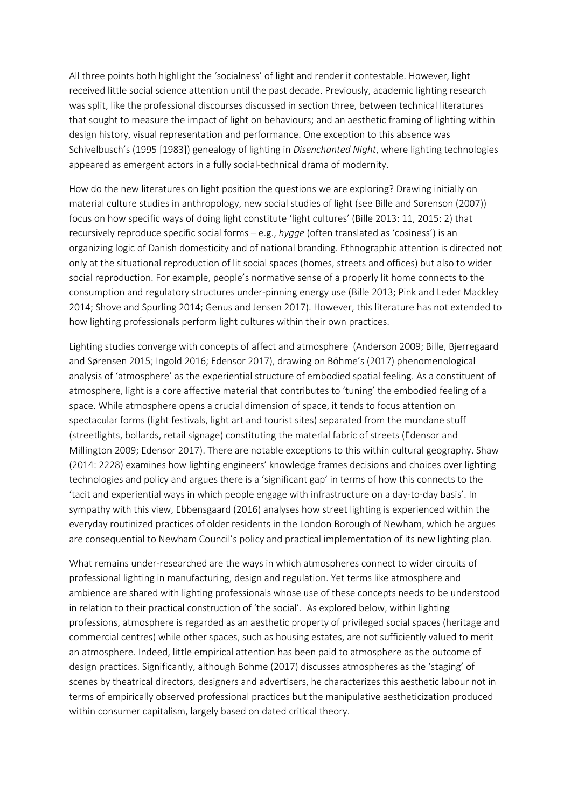All three points both highlight the 'socialness' of light and render it contestable. However, light received little social science attention until the past decade. Previously, academic lighting research was split, like the professional discourses discussed in section three, between technical literatures that sought to measure the impact of light on behaviours; and an aesthetic framing of lighting within design history, visual representation and performance. One exception to this absence was Schivelbusch's (1995 [1983]) genealogy of lighting in *Disenchanted Night*, where lighting technologies appeared as emergent actors in a fully social-technical drama of modernity.

How do the new literatures on light position the questions we are exploring? Drawing initially on material culture studies in anthropology, new social studies of light (see Bille and Sorenson (2007)) focus on how specific ways of doing light constitute 'light cultures' (Bille 2013: 11, 2015: 2) that recursively reproduce specific social forms – e.g., *hygge* (often translated as 'cosiness') is an organizing logic of Danish domesticity and of national branding. Ethnographic attention is directed not only at the situational reproduction of lit social spaces (homes, streets and offices) but also to wider social reproduction. For example, people's normative sense of a properly lit home connects to the consumption and regulatory structures under-pinning energy use (Bille 2013; Pink and Leder Mackley 2014; Shove and Spurling 2014; Genus and Jensen 2017). However, this literature has not extended to how lighting professionals perform light cultures within their own practices.

Lighting studies converge with concepts of affect and atmosphere (Anderson 2009; Bille, Bjerregaard and Sørensen 2015; Ingold 2016; Edensor 2017), drawing on Böhme's (2017) phenomenological analysis of 'atmosphere' as the experiential structure of embodied spatial feeling. As a constituent of atmosphere, light is a core affective material that contributes to 'tuning' the embodied feeling of a space. While atmosphere opens a crucial dimension of space, it tends to focus attention on spectacular forms (light festivals, light art and tourist sites) separated from the mundane stuff (streetlights, bollards, retail signage) constituting the material fabric of streets (Edensor and Millington 2009; Edensor 2017). There are notable exceptions to this within cultural geography. Shaw (2014: 2228) examines how lighting engineers' knowledge frames decisions and choices over lighting technologies and policy and argues there is a 'significant gap' in terms of how this connects to the 'tacit and experiential ways in which people engage with infrastructure on a day-to-day basis'. In sympathy with this view, Ebbensgaard (2016) analyses how street lighting is experienced within the everyday routinized practices of older residents in the London Borough of Newham, which he argues are consequential to Newham Council's policy and practical implementation of its new lighting plan.

What remains under-researched are the ways in which atmospheres connect to wider circuits of professional lighting in manufacturing, design and regulation. Yet terms like atmosphere and ambience are shared with lighting professionals whose use of these concepts needs to be understood in relation to their practical construction of 'the social'. As explored below, within lighting professions, atmosphere is regarded as an aesthetic property of privileged social spaces (heritage and commercial centres) while other spaces, such as housing estates, are not sufficiently valued to merit an atmosphere. Indeed, little empirical attention has been paid to atmosphere as the outcome of design practices. Significantly, although Bohme (2017) discusses atmospheres as the 'staging' of scenes by theatrical directors, designers and advertisers, he characterizes this aesthetic labour not in terms of empirically observed professional practices but the manipulative aestheticization produced within consumer capitalism, largely based on dated critical theory.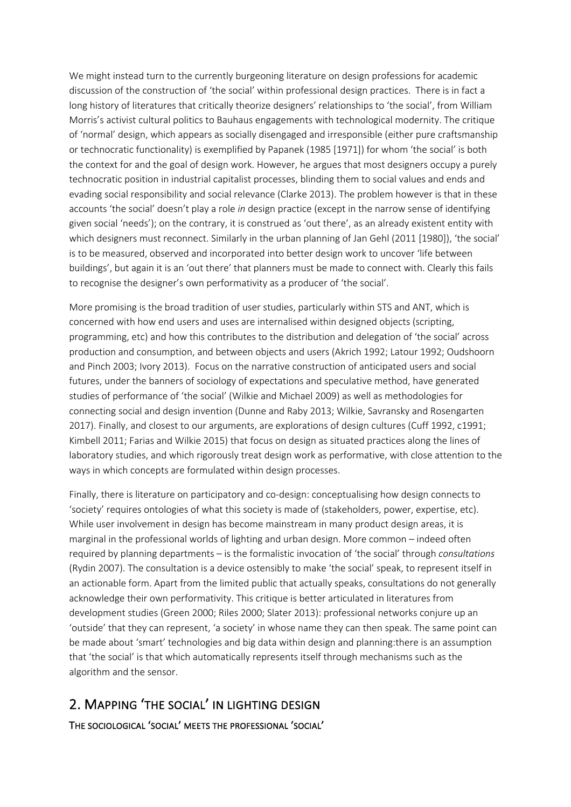We might instead turn to the currently burgeoning literature on design professions for academic discussion of the construction of 'the social' within professional design practices. There is in fact a long history of literatures that critically theorize designers' relationships to 'the social', from William Morris's activist cultural politics to Bauhaus engagements with technological modernity. The critique of 'normal' design, which appears as socially disengaged and irresponsible (either pure craftsmanship or technocratic functionality) is exemplified by Papanek (1985 [1971]) for whom 'the social' is both the context for and the goal of design work. However, he argues that most designers occupy a purely technocratic position in industrial capitalist processes, blinding them to social values and ends and evading social responsibility and social relevance (Clarke 2013). The problem however is that in these accounts 'the social' doesn't play a role *in* design practice (except in the narrow sense of identifying given social 'needs'); on the contrary, it is construed as 'out there', as an already existent entity with which designers must reconnect. Similarly in the urban planning of Jan Gehl (2011 [1980]), 'the social' is to be measured, observed and incorporated into better design work to uncover 'life between buildings', but again it is an 'out there' that planners must be made to connect with. Clearly this fails to recognise the designer's own performativity as a producer of 'the social'.

More promising is the broad tradition of user studies, particularly within STS and ANT, which is concerned with how end users and uses are internalised within designed objects (scripting, programming, etc) and how this contributes to the distribution and delegation of 'the social' across production and consumption, and between objects and users (Akrich 1992; Latour 1992; Oudshoorn and Pinch 2003; Ivory 2013). Focus on the narrative construction of anticipated users and social futures, under the banners of sociology of expectations and speculative method, have generated studies of performance of 'the social' (Wilkie and Michael 2009) as well as methodologies for connecting social and design invention (Dunne and Raby 2013; Wilkie, Savransky and Rosengarten 2017). Finally, and closest to our arguments, are explorations of design cultures (Cuff 1992, c1991; Kimbell 2011; Farias and Wilkie 2015) that focus on design as situated practices along the lines of laboratory studies, and which rigorously treat design work as performative, with close attention to the ways in which concepts are formulated within design processes.

Finally, there is literature on participatory and co-design: conceptualising how design connects to 'society' requires ontologies of what this society is made of (stakeholders, power, expertise, etc). While user involvement in design has become mainstream in many product design areas, it is marginal in the professional worlds of lighting and urban design. More common – indeed often required by planning departments – is the formalistic invocation of 'the social' through *consultations* (Rydin 2007). The consultation is a device ostensibly to make 'the social' speak, to represent itself in an actionable form. Apart from the limited public that actually speaks, consultations do not generally acknowledge their own performativity. This critique is better articulated in literatures from development studies (Green 2000; Riles 2000; Slater 2013): professional networks conjure up an 'outside' that they can represent, 'a society' in whose name they can then speak. The same point can be made about 'smart' technologies and big data within design and planning:there is an assumption that 'the social' is that which automatically represents itself through mechanisms such as the algorithm and the sensor.

# 2. MAPPING 'THE SOCIAL' IN LIGHTING DESIGN

THE SOCIOLOGICAL 'SOCIAL' MEETS THE PROFESSIONAL 'SOCIAL'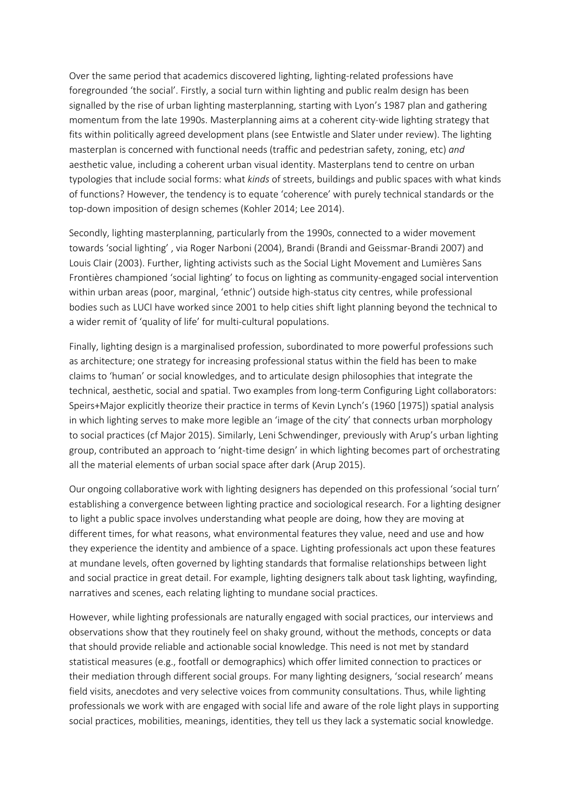Over the same period that academics discovered lighting, lighting-related professions have foregrounded 'the social'. Firstly, a social turn within lighting and public realm design has been signalled by the rise of urban lighting masterplanning, starting with Lyon's 1987 plan and gathering momentum from the late 1990s. Masterplanning aims at a coherent city-wide lighting strategy that fits within politically agreed development plans (see Entwistle and Slater under review). The lighting masterplan is concerned with functional needs (traffic and pedestrian safety, zoning, etc) *and* aesthetic value, including a coherent urban visual identity. Masterplans tend to centre on urban typologies that include social forms: what *kinds* of streets, buildings and public spaces with what kinds of functions? However, the tendency is to equate 'coherence' with purely technical standards or the top-down imposition of design schemes (Kohler 2014; Lee 2014).

Secondly, lighting masterplanning, particularly from the 1990s, connected to a wider movement towards 'social lighting' , via Roger Narboni (2004), Brandi (Brandi and Geissmar-Brandi 2007) and Louis Clair (2003). Further, lighting activists such as the Social Light Movement and Lumières Sans Frontières championed 'social lighting' to focus on lighting as community-engaged social intervention within urban areas (poor, marginal, 'ethnic') outside high-status city centres, while professional bodies such as LUCI have worked since 2001 to help cities shift light planning beyond the technical to a wider remit of 'quality of life' for multi-cultural populations.

Finally, lighting design is a marginalised profession, subordinated to more powerful professions such as architecture; one strategy for increasing professional status within the field has been to make claims to 'human' or social knowledges, and to articulate design philosophies that integrate the technical, aesthetic, social and spatial. Two examples from long-term Configuring Light collaborators: Speirs+Major explicitly theorize their practice in terms of Kevin Lynch's (1960 [1975]) spatial analysis in which lighting serves to make more legible an 'image of the city' that connects urban morphology to social practices (cf Major 2015). Similarly, Leni Schwendinger, previously with Arup's urban lighting group, contributed an approach to 'night-time design' in which lighting becomes part of orchestrating all the material elements of urban social space after dark (Arup 2015).

Our ongoing collaborative work with lighting designers has depended on this professional 'social turn' establishing a convergence between lighting practice and sociological research. For a lighting designer to light a public space involves understanding what people are doing, how they are moving at different times, for what reasons, what environmental features they value, need and use and how they experience the identity and ambience of a space. Lighting professionals act upon these features at mundane levels, often governed by lighting standards that formalise relationships between light and social practice in great detail. For example, lighting designers talk about task lighting, wayfinding, narratives and scenes, each relating lighting to mundane social practices.

However, while lighting professionals are naturally engaged with social practices, our interviews and observations show that they routinely feel on shaky ground, without the methods, concepts or data that should provide reliable and actionable social knowledge. This need is not met by standard statistical measures (e.g., footfall or demographics) which offer limited connection to practices or their mediation through different social groups. For many lighting designers, 'social research' means field visits, anecdotes and very selective voices from community consultations. Thus, while lighting professionals we work with are engaged with social life and aware of the role light plays in supporting social practices, mobilities, meanings, identities, they tell us they lack a systematic social knowledge.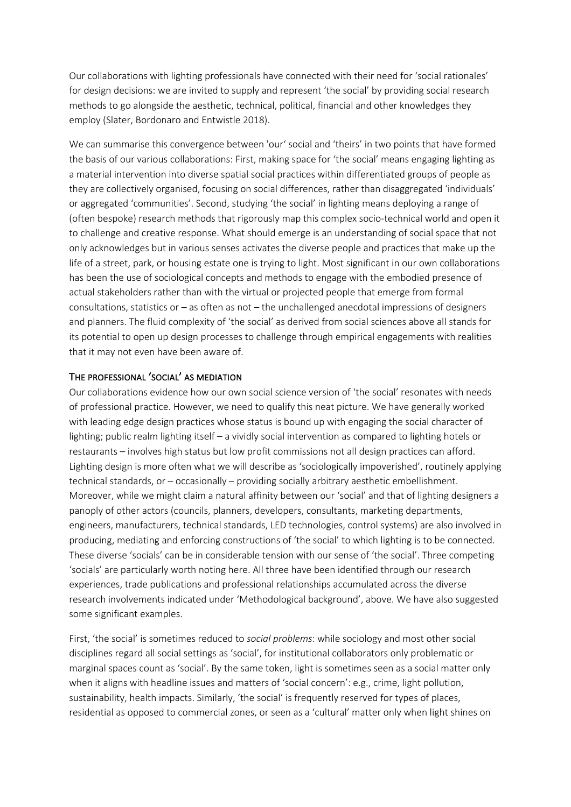Our collaborations with lighting professionals have connected with their need for 'social rationales' for design decisions: we are invited to supply and represent 'the social' by providing social research methods to go alongside the aesthetic, technical, political, financial and other knowledges they employ (Slater, Bordonaro and Entwistle 2018).

We can summarise this convergence between 'our' social and 'theirs' in two points that have formed the basis of our various collaborations: First, making space for 'the social' means engaging lighting as a material intervention into diverse spatial social practices within differentiated groups of people as they are collectively organised, focusing on social differences, rather than disaggregated 'individuals' or aggregated 'communities'. Second, studying 'the social' in lighting means deploying a range of (often bespoke) research methods that rigorously map this complex socio-technical world and open it to challenge and creative response. What should emerge is an understanding of social space that not only acknowledges but in various senses activates the diverse people and practices that make up the life of a street, park, or housing estate one is trying to light. Most significant in our own collaborations has been the use of sociological concepts and methods to engage with the embodied presence of actual stakeholders rather than with the virtual or projected people that emerge from formal consultations, statistics or – as often as not – the unchallenged anecdotal impressions of designers and planners. The fluid complexity of 'the social' as derived from social sciences above all stands for its potential to open up design processes to challenge through empirical engagements with realities that it may not even have been aware of.

### THE PROFESSIONAL 'SOCIAL' AS MEDIATION

Our collaborations evidence how our own social science version of 'the social' resonates with needs of professional practice. However, we need to qualify this neat picture. We have generally worked with leading edge design practices whose status is bound up with engaging the social character of lighting; public realm lighting itself – a vividly social intervention as compared to lighting hotels or restaurants – involves high status but low profit commissions not all design practices can afford. Lighting design is more often what we will describe as 'sociologically impoverished', routinely applying technical standards, or – occasionally – providing socially arbitrary aesthetic embellishment. Moreover, while we might claim a natural affinity between our 'social' and that of lighting designers a panoply of other actors (councils, planners, developers, consultants, marketing departments, engineers, manufacturers, technical standards, LED technologies, control systems) are also involved in producing, mediating and enforcing constructions of 'the social' to which lighting is to be connected. These diverse 'socials' can be in considerable tension with our sense of 'the social'. Three competing 'socials' are particularly worth noting here. All three have been identified through our research experiences, trade publications and professional relationships accumulated across the diverse research involvements indicated under 'Methodological background', above. We have also suggested some significant examples.

First, 'the social' is sometimes reduced to *social problems*: while sociology and most other social disciplines regard all social settings as 'social', for institutional collaborators only problematic or marginal spaces count as 'social'. By the same token, light is sometimes seen as a social matter only when it aligns with headline issues and matters of 'social concern': e.g., crime, light pollution, sustainability, health impacts. Similarly, 'the social' is frequently reserved for types of places, residential as opposed to commercial zones, or seen as a 'cultural' matter only when light shines on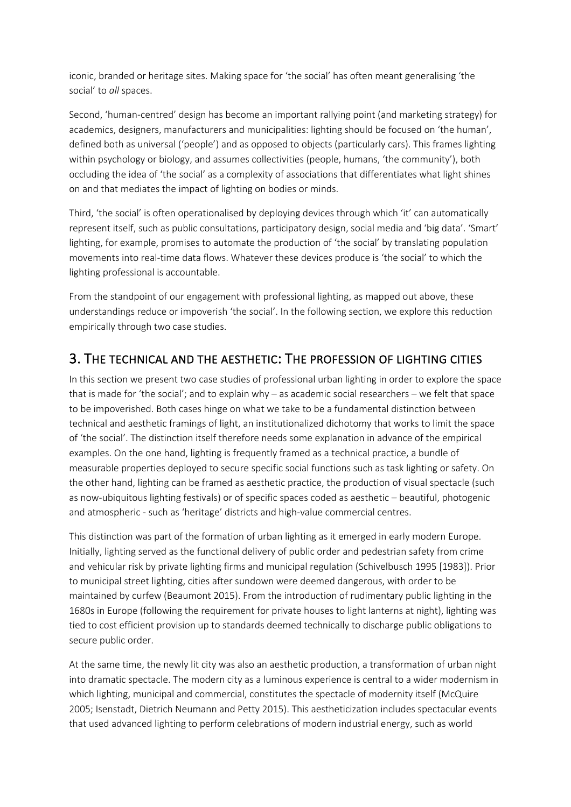iconic, branded or heritage sites. Making space for 'the social' has often meant generalising 'the social' to all spaces.

Second, 'human-centred' design has become an important rallying point (and marketing strategy) for academics, designers, manufacturers and municipalities: lighting should be focused on 'the human', defined both as universal ('people') and as opposed to objects (particularly cars). This frames lighting within psychology or biology, and assumes collectivities (people, humans, 'the community'), both occluding the idea of 'the social' as a complexity of associations that differentiates what light shines on and that mediates the impact of lighting on bodies or minds.

Third, 'the social' is often operationalised by deploying devices through which 'it' can automatically represent itself, such as public consultations, participatory design, social media and 'big data'. 'Smart' lighting, for example, promises to automate the production of 'the social' by translating population movements into real-time data flows. Whatever these devices produce is 'the social' to which the lighting professional is accountable.

From the standpoint of our engagement with professional lighting, as mapped out above, these understandings reduce or impoverish 'the social'. In the following section, we explore this reduction empirically through two case studies.

### 3. THE TECHNICAL AND THE AESTHETIC: THE PROFESSION OF LIGHTING CITIES

In this section we present two case studies of professional urban lighting in order to explore the space that is made for 'the social'; and to explain why – as academic social researchers – we felt that space to be impoverished. Both cases hinge on what we take to be a fundamental distinction between technical and aesthetic framings of light, an institutionalized dichotomy that works to limit the space of 'the social'. The distinction itself therefore needs some explanation in advance of the empirical examples. On the one hand, lighting is frequently framed as a technical practice, a bundle of measurable properties deployed to secure specific social functions such as task lighting or safety. On the other hand, lighting can be framed as aesthetic practice, the production of visual spectacle (such as now-ubiquitous lighting festivals) or of specific spaces coded as aesthetic – beautiful, photogenic and atmospheric - such as 'heritage' districts and high-value commercial centres.

This distinction was part of the formation of urban lighting as it emerged in early modern Europe. Initially, lighting served as the functional delivery of public order and pedestrian safety from crime and vehicular risk by private lighting firms and municipal regulation (Schivelbusch 1995 [1983]). Prior to municipal street lighting, cities after sundown were deemed dangerous, with order to be maintained by curfew (Beaumont 2015). From the introduction of rudimentary public lighting in the 1680s in Europe (following the requirement for private houses to light lanterns at night), lighting was tied to cost efficient provision up to standards deemed technically to discharge public obligations to secure public order.

At the same time, the newly lit city was also an aesthetic production, a transformation of urban night into dramatic spectacle. The modern city as a luminous experience is central to a wider modernism in which lighting, municipal and commercial, constitutes the spectacle of modernity itself (McQuire 2005; Isenstadt, Dietrich Neumann and Petty 2015). This aestheticization includes spectacular events that used advanced lighting to perform celebrations of modern industrial energy, such as world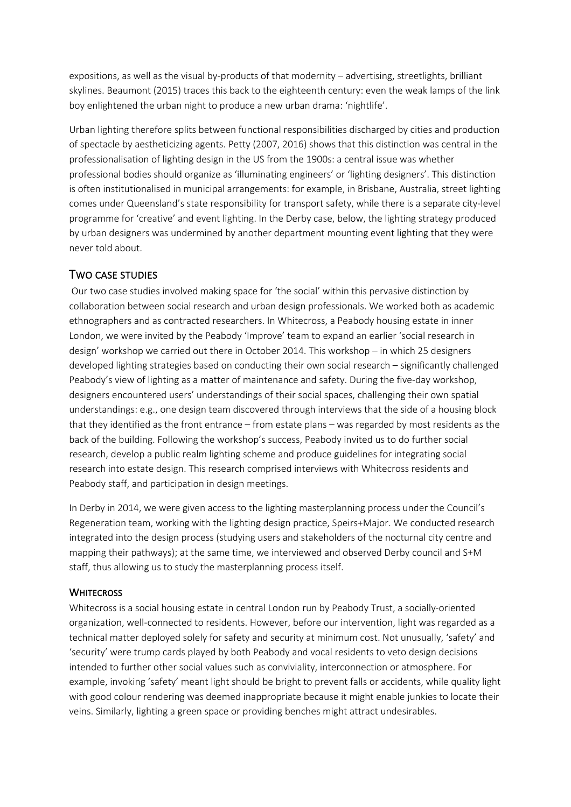expositions, as well as the visual by-products of that modernity – advertising, streetlights, brilliant skylines. Beaumont (2015) traces this back to the eighteenth century: even the weak lamps of the link boy enlightened the urban night to produce a new urban drama: 'nightlife'.

Urban lighting therefore splits between functional responsibilities discharged by cities and production of spectacle by aestheticizing agents. Petty (2007, 2016) shows that this distinction was central in the professionalisation of lighting design in the US from the 1900s: a central issue was whether professional bodies should organize as 'illuminating engineers' or 'lighting designers'. This distinction is often institutionalised in municipal arrangements: for example, in Brisbane, Australia, street lighting comes under Queensland's state responsibility for transport safety, while there is a separate city-level programme for 'creative' and event lighting. In the Derby case, below, the lighting strategy produced by urban designers was undermined by another department mounting event lighting that they were never told about.

### TWO CASE STUDIES

Our two case studies involved making space for 'the social' within this pervasive distinction by collaboration between social research and urban design professionals. We worked both as academic ethnographers and as contracted researchers. In Whitecross, a Peabody housing estate in inner London, we were invited by the Peabody 'Improve' team to expand an earlier 'social research in design' workshop we carried out there in October 2014. This workshop – in which 25 designers developed lighting strategies based on conducting their own social research – significantly challenged Peabody's view of lighting as a matter of maintenance and safety. During the five-day workshop, designers encountered users' understandings of their social spaces, challenging their own spatial understandings: e.g., one design team discovered through interviews that the side of a housing block that they identified as the front entrance – from estate plans – was regarded by most residents as the back of the building. Following the workshop's success, Peabody invited us to do further social research, develop a public realm lighting scheme and produce guidelines for integrating social research into estate design. This research comprised interviews with Whitecross residents and Peabody staff, and participation in design meetings.

In Derby in 2014, we were given access to the lighting masterplanning process under the Council's Regeneration team, working with the lighting design practice, Speirs+Major. We conducted research integrated into the design process (studying users and stakeholders of the nocturnal city centre and mapping their pathways); at the same time, we interviewed and observed Derby council and S+M staff, thus allowing us to study the masterplanning process itself.

### **WHITECROSS**

Whitecross is a social housing estate in central London run by Peabody Trust, a socially-oriented organization, well-connected to residents. However, before our intervention, light was regarded as a technical matter deployed solely for safety and security at minimum cost. Not unusually, 'safety' and 'security' were trump cards played by both Peabody and vocal residents to veto design decisions intended to further other social values such as conviviality, interconnection or atmosphere. For example, invoking 'safety' meant light should be bright to prevent falls or accidents, while quality light with good colour rendering was deemed inappropriate because it might enable junkies to locate their veins. Similarly, lighting a green space or providing benches might attract undesirables.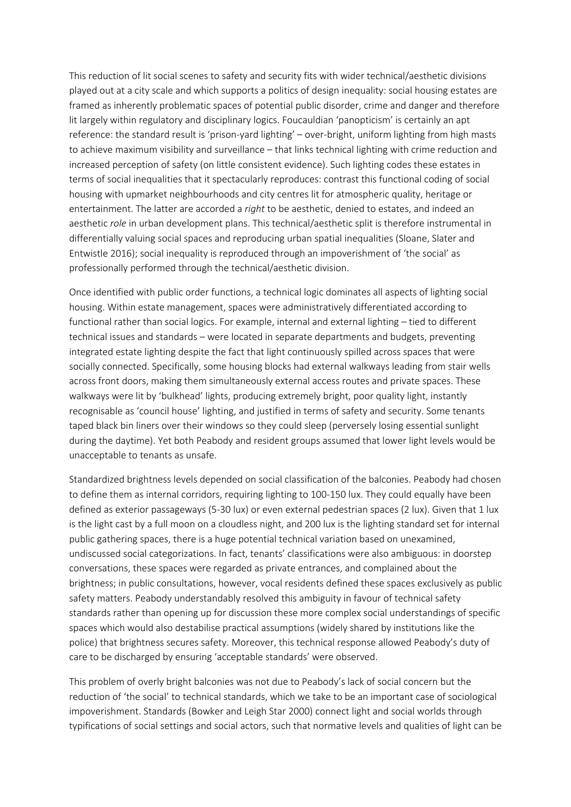This reduction of lit social scenes to safety and security fits with wider technical/aesthetic divisions played out at a city scale and which supports a politics of design inequality: social housing estates are framed as inherently problematic spaces of potential public disorder, crime and danger and therefore lit largely within regulatory and disciplinary logics. Foucauldian 'panopticism' is certainly an apt reference: the standard result is 'prison-yard lighting' – over-bright, uniform lighting from high masts to achieve maximum visibility and surveillance – that links technical lighting with crime reduction and increased perception of safety (on little consistent evidence). Such lighting codes these estates in terms of social inequalities that it spectacularly reproduces: contrast this functional coding of social housing with upmarket neighbourhoods and city centres lit for atmospheric quality, heritage or entertainment. The latter are accorded a *right* to be aesthetic, denied to estates, and indeed an aesthetic *role* in urban development plans. This technical/aesthetic split is therefore instrumental in differentially valuing social spaces and reproducing urban spatial inequalities (Sloane, Slater and Entwistle 2016); social inequality is reproduced through an impoverishment of 'the social' as professionally performed through the technical/aesthetic division.

Once identified with public order functions, a technical logic dominates all aspects of lighting social housing. Within estate management, spaces were administratively differentiated according to functional rather than social logics. For example, internal and external lighting – tied to different technical issues and standards – were located in separate departments and budgets, preventing integrated estate lighting despite the fact that light continuously spilled across spaces that were socially connected. Specifically, some housing blocks had external walkways leading from stair wells across front doors, making them simultaneously external access routes and private spaces. These walkways were lit by 'bulkhead' lights, producing extremely bright, poor quality light, instantly recognisable as 'council house' lighting, and justified in terms of safety and security. Some tenants taped black bin liners over their windows so they could sleep (perversely losing essential sunlight during the daytime). Yet both Peabody and resident groups assumed that lower light levels would be unacceptable to tenants as unsafe.

Standardized brightness levels depended on social classification of the balconies. Peabody had chosen to define them as internal corridors, requiring lighting to 100-150 lux. They could equally have been defined as exterior passageways (5-30 lux) or even external pedestrian spaces (2 lux). Given that 1 lux is the light cast by a full moon on a cloudless night, and 200 lux is the lighting standard set for internal public gathering spaces, there is a huge potential technical variation based on unexamined, undiscussed social categorizations. In fact, tenants' classifications were also ambiguous: in doorstep conversations, these spaces were regarded as private entrances, and complained about the brightness; in public consultations, however, vocal residents defined these spaces exclusively as public safety matters. Peabody understandably resolved this ambiguity in favour of technical safety standards rather than opening up for discussion these more complex social understandings of specific spaces which would also destabilise practical assumptions (widely shared by institutions like the police) that brightness secures safety. Moreover, this technical response allowed Peabody's duty of care to be discharged by ensuring 'acceptable standards' were observed.

This problem of overly bright balconies was not due to Peabody's lack of social concern but the reduction of 'the social' to technical standards, which we take to be an important case of sociological impoverishment. Standards (Bowker and Leigh Star 2000) connect light and social worlds through typifications of social settings and social actors, such that normative levels and qualities of light can be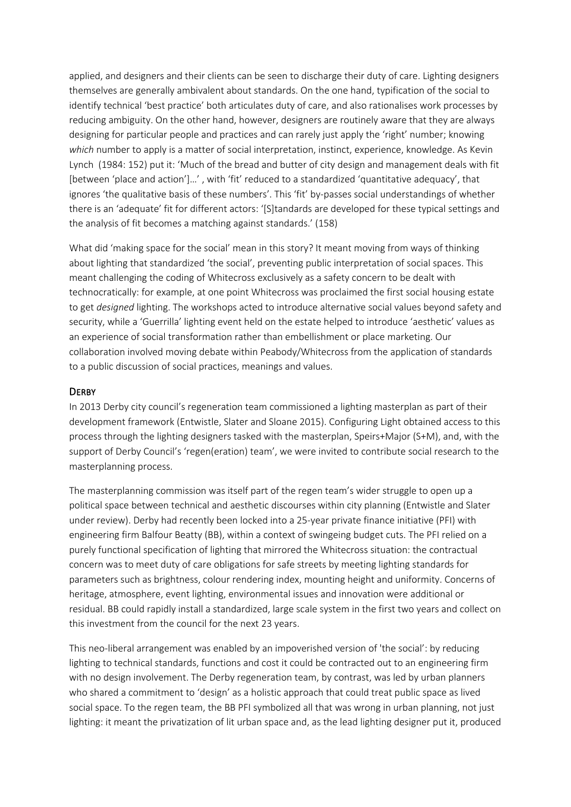applied, and designers and their clients can be seen to discharge their duty of care. Lighting designers themselves are generally ambivalent about standards. On the one hand, typification of the social to identify technical 'best practice' both articulates duty of care, and also rationalises work processes by reducing ambiguity. On the other hand, however, designers are routinely aware that they are always designing for particular people and practices and can rarely just apply the 'right' number; knowing *which* number to apply is a matter of social interpretation, instinct, experience, knowledge. As Kevin Lynch (1984: 152) put it: 'Much of the bread and butter of city design and management deals with fit [between 'place and action']…' , with 'fit' reduced to a standardized 'quantitative adequacy', that ignores 'the qualitative basis of these numbers'. This 'fit' by-passes social understandings of whether there is an 'adequate' fit for different actors: '[S]tandards are developed for these typical settings and the analysis of fit becomes a matching against standards.' (158)

What did 'making space for the social' mean in this story? It meant moving from ways of thinking about lighting that standardized 'the social', preventing public interpretation of social spaces. This meant challenging the coding of Whitecross exclusively as a safety concern to be dealt with technocratically: for example, at one point Whitecross was proclaimed the first social housing estate to get *designed* lighting. The workshops acted to introduce alternative social values beyond safety and security, while a 'Guerrilla' lighting event held on the estate helped to introduce 'aesthetic' values as an experience of social transformation rather than embellishment or place marketing. Our collaboration involved moving debate within Peabody/Whitecross from the application of standards to a public discussion of social practices, meanings and values.

### **DERBY**

In 2013 Derby city council's regeneration team commissioned a lighting masterplan as part of their development framework (Entwistle, Slater and Sloane 2015). Configuring Light obtained access to this process through the lighting designers tasked with the masterplan, Speirs+Major (S+M), and, with the support of Derby Council's 'regen(eration) team', we were invited to contribute social research to the masterplanning process.

The masterplanning commission was itself part of the regen team's wider struggle to open up a political space between technical and aesthetic discourses within city planning (Entwistle and Slater under review). Derby had recently been locked into a 25-year private finance initiative (PFI) with engineering firm Balfour Beatty (BB), within a context of swingeing budget cuts. The PFI relied on a purely functional specification of lighting that mirrored the Whitecross situation: the contractual concern was to meet duty of care obligations for safe streets by meeting lighting standards for parameters such as brightness, colour rendering index, mounting height and uniformity. Concerns of heritage, atmosphere, event lighting, environmental issues and innovation were additional or residual. BB could rapidly install a standardized, large scale system in the first two years and collect on this investment from the council for the next 23 years.

This neo-liberal arrangement was enabled by an impoverished version of 'the social': by reducing lighting to technical standards, functions and cost it could be contracted out to an engineering firm with no design involvement. The Derby regeneration team, by contrast, was led by urban planners who shared a commitment to 'design' as a holistic approach that could treat public space as lived social space. To the regen team, the BB PFI symbolized all that was wrong in urban planning, not just lighting: it meant the privatization of lit urban space and, as the lead lighting designer put it, produced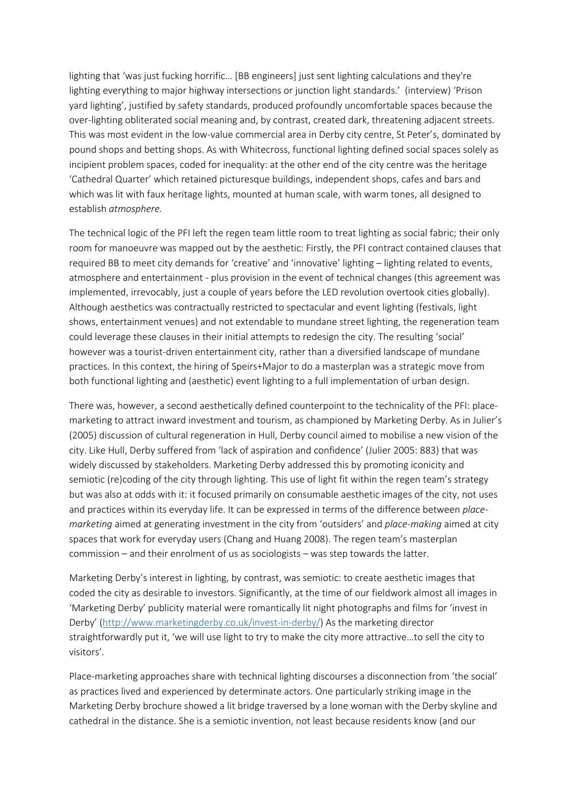lighting that 'was just fucking horrific… [BB engineers] just sent lighting calculations and they're lighting everything to major highway intersections or junction light standards.' (interview) 'Prison yard lighting', justified by safety standards, produced profoundly uncomfortable spaces because the over-lighting obliterated social meaning and, by contrast, created dark, threatening adjacent streets. This was most evident in the low-value commercial area in Derby city centre, St Peter's, dominated by pound shops and betting shops. As with Whitecross, functional lighting defined social spaces solely as incipient problem spaces, coded for inequality: at the other end of the city centre was the heritage 'Cathedral Quarter' which retained picturesque buildings, independent shops, cafes and bars and which was lit with faux heritage lights, mounted at human scale, with warm tones, all designed to establish *atmosphere.* 

The technical logic of the PFI left the regen team little room to treat lighting as social fabric; their only room for manoeuvre was mapped out by the aesthetic: Firstly, the PFI contract contained clauses that required BB to meet city demands for 'creative' and 'innovative' lighting – lighting related to events, atmosphere and entertainment - plus provision in the event of technical changes (this agreement was implemented, irrevocably, just a couple of years before the LED revolution overtook cities globally). Although aesthetics was contractually restricted to spectacular and event lighting (festivals, light shows, entertainment venues) and not extendable to mundane street lighting, the regeneration team could leverage these clauses in their initial attempts to redesign the city. The resulting 'social' however was a tourist-driven entertainment city, rather than a diversified landscape of mundane practices. In this context, the hiring of Speirs+Major to do a masterplan was a strategic move from both functional lighting and (aesthetic) event lighting to a full implementation of urban design.

There was, however, a second aesthetically defined counterpoint to the technicality of the PFI: placemarketing to attract inward investment and tourism, as championed by Marketing Derby. As in Julier's (2005) discussion of cultural regeneration in Hull, Derby council aimed to mobilise a new vision of the city. Like Hull, Derby suffered from 'lack of aspiration and confidence' (Julier 2005: 883) that was widely discussed by stakeholders. Marketing Derby addressed this by promoting iconicity and semiotic (re)coding of the city through lighting. This use of light fit within the regen team's strategy but was also at odds with it: it focused primarily on consumable aesthetic images of the city, not uses and practices within its everyday life. It can be expressed in terms of the difference between *placemarketing* aimed at generating investment in the city from 'outsiders' and *place-making* aimed at city spaces that work for everyday users (Chang and Huang 2008). The regen team's masterplan commission – and their enrolment of us as sociologists – was step towards the latter.

Marketing Derby's interest in lighting, by contrast, was semiotic: to create aesthetic images that coded the city as desirable to investors. Significantly, at the time of our fieldwork almost all images in 'Marketing Derby' publicity material were romantically lit night photographs and films for 'invest in Derby' (http://www.marketingderby.co.uk/invest-in-derby/) As the marketing director straightforwardly put it, 'we will use light to try to make the city more attractive…to sell the city to visitors'.

Place-marketing approaches share with technical lighting discourses a disconnection from 'the social' as practices lived and experienced by determinate actors. One particularly striking image in the Marketing Derby brochure showed a lit bridge traversed by a lone woman with the Derby skyline and cathedral in the distance. She is a semiotic invention, not least because residents know (and our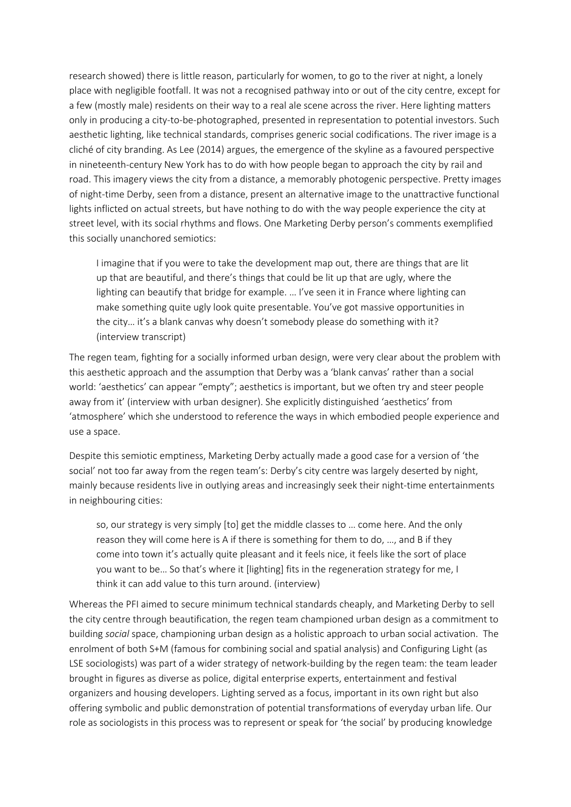research showed) there is little reason, particularly for women, to go to the river at night, a lonely place with negligible footfall. It was not a recognised pathway into or out of the city centre, except for a few (mostly male) residents on their way to a real ale scene across the river. Here lighting matters only in producing a city-to-be-photographed, presented in representation to potential investors. Such aesthetic lighting, like technical standards, comprises generic social codifications. The river image is a cliché of city branding. As Lee (2014) argues, the emergence of the skyline as a favoured perspective in nineteenth-century New York has to do with how people began to approach the city by rail and road. This imagery views the city from a distance, a memorably photogenic perspective. Pretty images of night-time Derby, seen from a distance, present an alternative image to the unattractive functional lights inflicted on actual streets, but have nothing to do with the way people experience the city at street level, with its social rhythms and flows. One Marketing Derby person's comments exemplified this socially unanchored semiotics:

I imagine that if you were to take the development map out, there are things that are lit up that are beautiful, and there's things that could be lit up that are ugly, where the lighting can beautify that bridge for example. … I've seen it in France where lighting can make something quite ugly look quite presentable. You've got massive opportunities in the city… it's a blank canvas why doesn't somebody please do something with it? (interview transcript)

The regen team, fighting for a socially informed urban design, were very clear about the problem with this aesthetic approach and the assumption that Derby was a 'blank canvas' rather than a social world: 'aesthetics' can appear "empty"; aesthetics is important, but we often try and steer people away from it' (interview with urban designer). She explicitly distinguished 'aesthetics' from 'atmosphere' which she understood to reference the ways in which embodied people experience and use a space.

Despite this semiotic emptiness, Marketing Derby actually made a good case for a version of 'the social' not too far away from the regen team's: Derby's city centre was largely deserted by night, mainly because residents live in outlying areas and increasingly seek their night-time entertainments in neighbouring cities:

so, our strategy is very simply [to] get the middle classes to … come here. And the only reason they will come here is A if there is something for them to do, …, and B if they come into town it's actually quite pleasant and it feels nice, it feels like the sort of place you want to be… So that's where it [lighting] fits in the regeneration strategy for me, I think it can add value to this turn around. (interview)

Whereas the PFI aimed to secure minimum technical standards cheaply, and Marketing Derby to sell the city centre through beautification, the regen team championed urban design as a commitment to building *social* space, championing urban design as a holistic approach to urban social activation. The enrolment of both S+M (famous for combining social and spatial analysis) and Configuring Light (as LSE sociologists) was part of a wider strategy of network-building by the regen team: the team leader brought in figures as diverse as police, digital enterprise experts, entertainment and festival organizers and housing developers. Lighting served as a focus, important in its own right but also offering symbolic and public demonstration of potential transformations of everyday urban life. Our role as sociologists in this process was to represent or speak for 'the social' by producing knowledge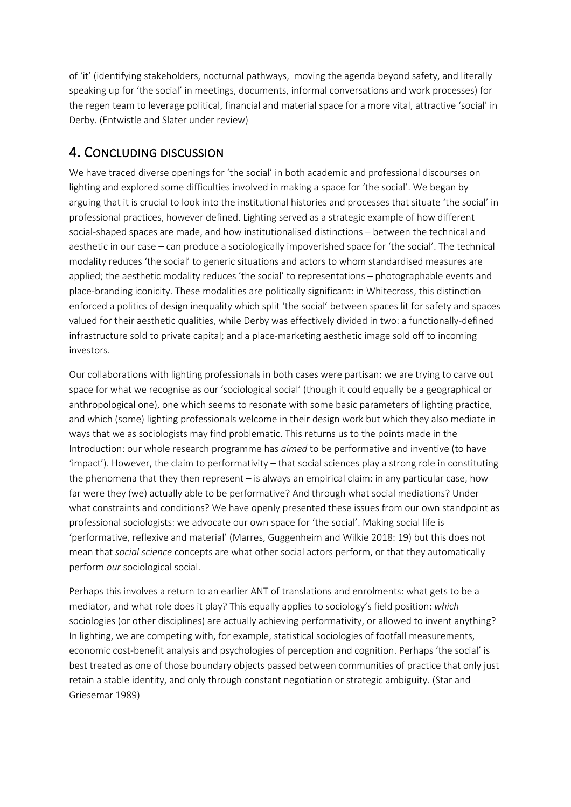of 'it' (identifying stakeholders, nocturnal pathways, moving the agenda beyond safety, and literally speaking up for 'the social' in meetings, documents, informal conversations and work processes) for the regen team to leverage political, financial and material space for a more vital, attractive 'social' in Derby. (Entwistle and Slater under review)

# 4. CONCLUDING DISCUSSION

We have traced diverse openings for 'the social' in both academic and professional discourses on lighting and explored some difficulties involved in making a space for 'the social'. We began by arguing that it is crucial to look into the institutional histories and processes that situate 'the social' in professional practices, however defined. Lighting served as a strategic example of how different social-shaped spaces are made, and how institutionalised distinctions – between the technical and aesthetic in our case – can produce a sociologically impoverished space for 'the social'. The technical modality reduces 'the social' to generic situations and actors to whom standardised measures are applied; the aesthetic modality reduces 'the social' to representations – photographable events and place-branding iconicity. These modalities are politically significant: in Whitecross, this distinction enforced a politics of design inequality which split 'the social' between spaces lit for safety and spaces valued for their aesthetic qualities, while Derby was effectively divided in two: a functionally-defined infrastructure sold to private capital; and a place-marketing aesthetic image sold off to incoming investors.

Our collaborations with lighting professionals in both cases were partisan: we are trying to carve out space for what we recognise as our 'sociological social' (though it could equally be a geographical or anthropological one), one which seems to resonate with some basic parameters of lighting practice, and which (some) lighting professionals welcome in their design work but which they also mediate in ways that we as sociologists may find problematic. This returns us to the points made in the Introduction: our whole research programme has *aimed* to be performative and inventive (to have 'impact'). However, the claim to performativity – that social sciences play a strong role in constituting the phenomena that they then represent – is always an empirical claim: in any particular case, how far were they (we) actually able to be performative? And through what social mediations? Under what constraints and conditions? We have openly presented these issues from our own standpoint as professional sociologists: we advocate our own space for 'the social'. Making social life is 'performative, reflexive and material' (Marres, Guggenheim and Wilkie 2018: 19) but this does not mean that *social science* concepts are what other social actors perform, or that they automatically perform *our* sociological social.

Perhaps this involves a return to an earlier ANT of translations and enrolments: what gets to be a mediator, and what role does it play? This equally applies to sociology's field position: *which* sociologies (or other disciplines) are actually achieving performativity, or allowed to invent anything? In lighting, we are competing with, for example, statistical sociologies of footfall measurements, economic cost-benefit analysis and psychologies of perception and cognition. Perhaps 'the social' is best treated as one of those boundary objects passed between communities of practice that only just retain a stable identity, and only through constant negotiation or strategic ambiguity. (Star and Griesemar 1989)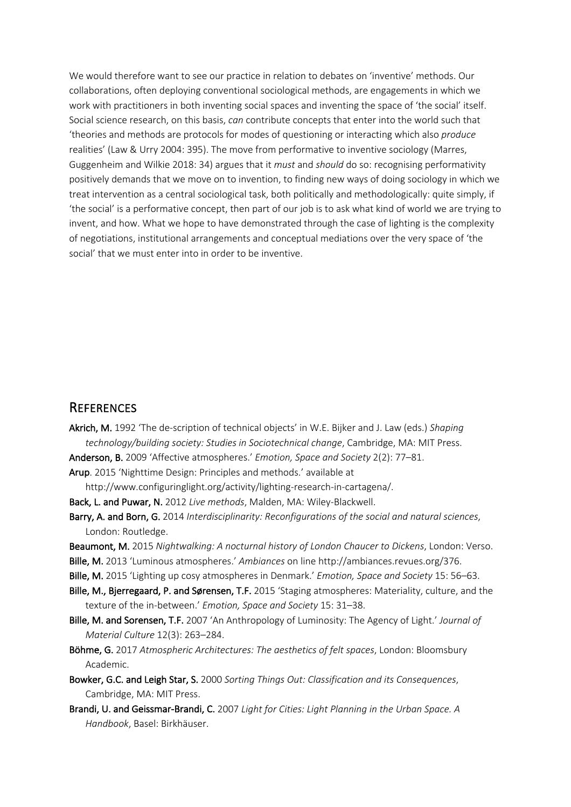We would therefore want to see our practice in relation to debates on 'inventive' methods. Our collaborations, often deploying conventional sociological methods, are engagements in which we work with practitioners in both inventing social spaces and inventing the space of 'the social' itself. Social science research, on this basis, *can* contribute concepts that enter into the world such that 'theories and methods are protocols for modes of questioning or interacting which also *produce*  realities' (Law & Urry 2004: 395). The move from performative to inventive sociology (Marres, Guggenheim and Wilkie 2018: 34) argues that it *must* and *should* do so: recognising performativity positively demands that we move on to invention, to finding new ways of doing sociology in which we treat intervention as a central sociological task, both politically and methodologically: quite simply, if 'the social' is a performative concept, then part of our job is to ask what kind of world we are trying to invent, and how. What we hope to have demonstrated through the case of lighting is the complexity of negotiations, institutional arrangements and conceptual mediations over the very space of 'the social' that we must enter into in order to be inventive.

### **REFERENCES**

- Akrich, M. 1992 'The de-scription of technical objects' in W.E. Bijker and J. Law (eds.) *Shaping technology/building society: Studies in Sociotechnical change*, Cambridge, MA: MIT Press.
- Anderson, B. 2009 'Affective atmospheres.' *Emotion, Space and Society* 2(2): 77–81.
- Arup. 2015 'Nighttime Design: Principles and methods.' available at
	- http://www.configuringlight.org/activity/lighting-research-in-cartagena/.
- Back, L. and Puwar, N. 2012 *Live methods*, Malden, MA: Wiley-Blackwell.
- Barry, A. and Born, G. 2014 *Interdisciplinarity: Reconfigurations of the social and natural sciences*, London: Routledge.
- Beaumont, M. 2015 *Nightwalking: A nocturnal history of London Chaucer to Dickens*, London: Verso.
- Bille, M. 2013 'Luminous atmospheres.' *Ambiances* on line http://ambiances.revues.org/376.
- Bille, M. 2015 'Lighting up cosy atmospheres in Denmark.' *Emotion, Space and Society* 15: 56–63.
- Bille, M., Bjerregaard, P. and Sørensen, T.F. 2015 'Staging atmospheres: Materiality, culture, and the texture of the in-between.' *Emotion, Space and Society* 15: 31–38.
- Bille, M. and Sorensen, T.F. 2007 'An Anthropology of Luminosity: The Agency of Light.' *Journal of Material Culture* 12(3): 263–284.
- Böhme, G. 2017 *Atmospheric Architectures: The aesthetics of felt spaces*, London: Bloomsbury Academic.
- Bowker, G.C. and Leigh Star, S. 2000 *Sorting Things Out: Classification and its Consequences*, Cambridge, MA: MIT Press.
- Brandi, U. and Geissmar-Brandi, C. 2007 *Light for Cities: Light Planning in the Urban Space. A Handbook*, Basel: Birkhäuser.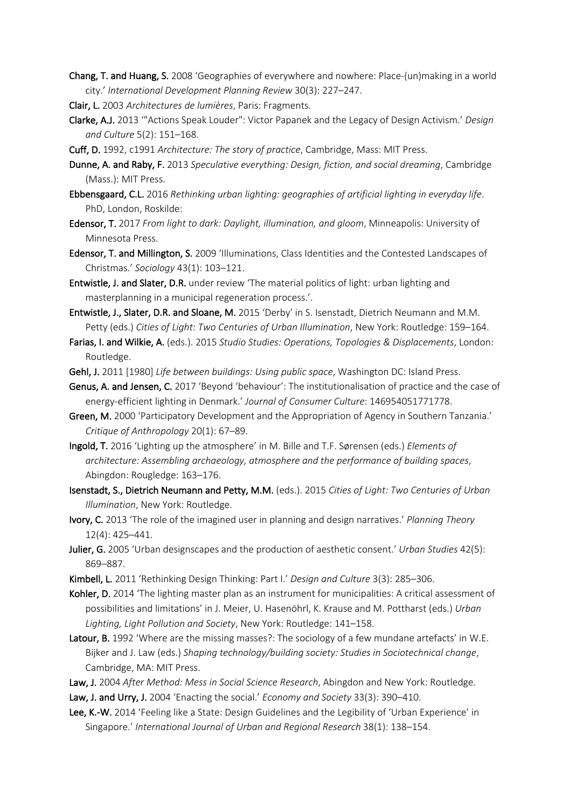Chang, T. and Huang, S. 2008 'Geographies of everywhere and nowhere: Place-(un)making in a world city.' *International Development Planning Review* 30(3): 227–247.

Clair, L. 2003 *Architectures de lumières*, Paris: Fragments.

- Clarke, A.J. 2013 '"Actions Speak Louder": Victor Papanek and the Legacy of Design Activism.' *Design and Culture* 5(2): 151–168.
- Cuff, D. 1992, c1991 *Architecture: The story of practice*, Cambridge, Mass: MIT Press.
- Dunne, A. and Raby, F. 2013 *Speculative everything: Design, fiction, and social dreaming*, Cambridge (Mass.): MIT Press.
- Ebbensgaard, C.L. 2016 *Rethinking urban lighting: geographies of artificial lighting in everyday life*. PhD, London, Roskilde:
- Edensor, T. 2017 *From light to dark: Daylight, illumination, and gloom*, Minneapolis: University of Minnesota Press.
- Edensor, T. and Millington, S. 2009 'Illuminations, Class Identities and the Contested Landscapes of Christmas.' *Sociology* 43(1): 103–121.
- Entwistle, J. and Slater, D.R. under review 'The material politics of light: urban lighting and masterplanning in a municipal regeneration process.'.
- Entwistle, J., Slater, D.R. and Sloane, M. 2015 'Derby' in S. Isenstadt, Dietrich Neumann and M.M. Petty (eds.) *Cities of Light: Two Centuries of Urban Illumination*, New York: Routledge: 159–164.
- Farias, I. and Wilkie, A. (eds.). 2015 *Studio Studies: Operations, Topologies & Displacements*, London: Routledge.
- Gehl, J. 2011 [1980] *Life between buildings: Using public space*, Washington DC: Island Press.
- Genus, A. and Jensen, C. 2017 'Beyond 'behaviour': The institutionalisation of practice and the case of energy-efficient lighting in Denmark.' *Journal of Consumer Culture*: 146954051771778.
- Green, M. 2000 'Participatory Development and the Appropriation of Agency in Southern Tanzania.' *Critique of Anthropology* 20(1): 67–89.
- Ingold, T. 2016 'Lighting up the atmosphere' in M. Bille and T.F. Sørensen (eds.) *Elements of architecture: Assembling archaeology, atmosphere and the performance of building spaces*, Abingdon: Rougledge: 163–176.
- Isenstadt, S., Dietrich Neumann and Petty, M.M. (eds.). 2015 *Cities of Light: Two Centuries of Urban Illumination*, New York: Routledge.
- Ivory, C. 2013 'The role of the imagined user in planning and design narratives.' *Planning Theory* 12(4): 425–441.
- Julier, G. 2005 'Urban designscapes and the production of aesthetic consent.' *Urban Studies* 42(5): 869–887.
- Kimbell, L. 2011 'Rethinking Design Thinking: Part I.' *Design and Culture* 3(3): 285–306.
- Kohler, D. 2014 'The lighting master plan as an instrument for municipalities: A critical assessment of possibilities and limitations' in J. Meier, U. Hasenöhrl, K. Krause and M. Pottharst (eds.) *Urban Lighting, Light Pollution and Society*, New York: Routledge: 141–158.
- Latour, B. 1992 'Where are the missing masses?: The sociology of a few mundane artefacts' in W.E. Bijker and J. Law (eds.) *Shaping technology/building society: Studies in Sociotechnical change*, Cambridge, MA: MIT Press.
- Law, J. 2004 *After Method: Mess in Social Science Research*, Abingdon and New York: Routledge.
- Law, J. and Urry, J. 2004 'Enacting the social.' *Economy and Society* 33(3): 390–410.
- Lee, K.-W. 2014 'Feeling like a State: Design Guidelines and the Legibility of 'Urban Experience' in Singapore.' *International Journal of Urban and Regional Research* 38(1): 138–154.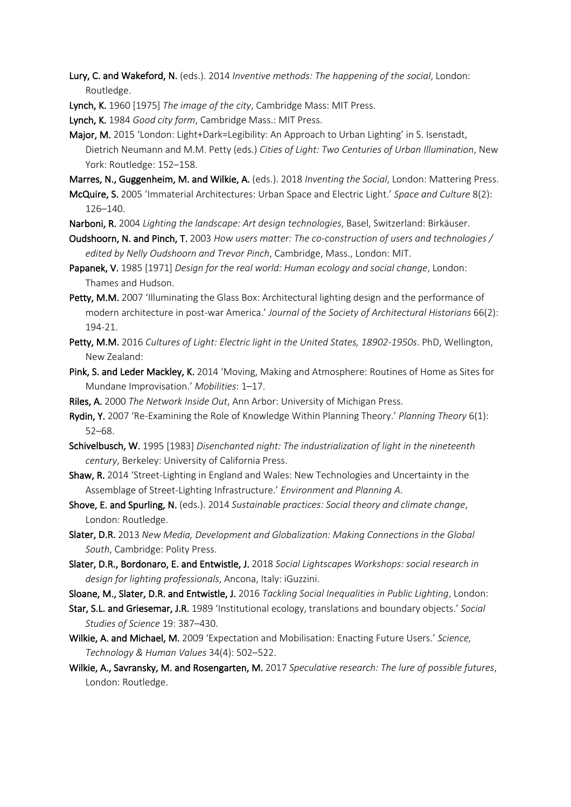Lury, C. and Wakeford, N. (eds.). 2014 *Inventive methods: The happening of the social*, London: Routledge.

Lynch, K. 1960 [1975] *The image of the city*, Cambridge Mass: MIT Press.

Lynch, K. 1984 *Good city form*, Cambridge Mass.: MIT Press.

Major, M. 2015 'London: Light+Dark=Legibility: An Approach to Urban Lighting' in S. Isenstadt, Dietrich Neumann and M.M. Petty (eds.) *Cities of Light: Two Centuries of Urban Illumination*, New York: Routledge: 152–158.

Marres, N., Guggenheim, M. and Wilkie, A. (eds.). 2018 *Inventing the Social*, London: Mattering Press.

- McQuire, S. 2005 'Immaterial Architectures: Urban Space and Electric Light.' *Space and Culture* 8(2): 126–140.
- Narboni, R. 2004 *Lighting the landscape: Art design technologies*, Basel, Switzerland: Birkäuser.
- Oudshoorn, N. and Pinch, T. 2003 *How users matter: The co-construction of users and technologies / edited by Nelly Oudshoorn and Trevor Pinch*, Cambridge, Mass., London: MIT.
- Papanek, V. 1985 [1971] *Design for the real world: Human ecology and social change*, London: Thames and Hudson.
- Petty, M.M. 2007 'Illuminating the Glass Box: Architectural lighting design and the performance of modern architecture in post-war America.' *Journal of the Society of Architectural Historians* 66(2): 194-21.
- Petty, M.M. 2016 *Cultures of Light: Electric light in the United States, 18902-1950s*. PhD, Wellington, New Zealand:
- Pink, S. and Leder Mackley, K. 2014 'Moving, Making and Atmosphere: Routines of Home as Sites for Mundane Improvisation.' *Mobilities*: 1–17.
- Riles, A. 2000 *The Network Inside Out*, Ann Arbor: University of Michigan Press.
- Rydin, Y. 2007 'Re-Examining the Role of Knowledge Within Planning Theory.' *Planning Theory* 6(1): 52–68.
- Schivelbusch, W. 1995 [1983] *Disenchanted night: The industrialization of light in the nineteenth century*, Berkeley: University of California Press.
- Shaw, R. 2014 'Street-Lighting in England and Wales: New Technologies and Uncertainty in the Assemblage of Street-Lighting Infrastructure.' *Environment and Planning A*.
- Shove, E. and Spurling, N. (eds.). 2014 *Sustainable practices: Social theory and climate change*, London: Routledge.
- Slater, D.R. 2013 *New Media, Development and Globalization: Making Connections in the Global South*, Cambridge: Polity Press.
- Slater, D.R., Bordonaro, E. and Entwistle, J. 2018 *Social Lightscapes Workshops: social research in design for lighting professionals*, Ancona, Italy: iGuzzini.

Sloane, M., Slater, D.R. and Entwistle, J. 2016 *Tackling Social Inequalities in Public Lighting*, London:

- Star, S.L. and Griesemar, J.R. 1989 'Institutional ecology, translations and boundary objects.' *Social Studies of Science* 19: 387–430.
- Wilkie, A. and Michael, M. 2009 'Expectation and Mobilisation: Enacting Future Users.' *Science, Technology & Human Values* 34(4): 502–522.
- Wilkie, A., Savransky, M. and Rosengarten, M. 2017 *Speculative research: The lure of possible futures*, London: Routledge.